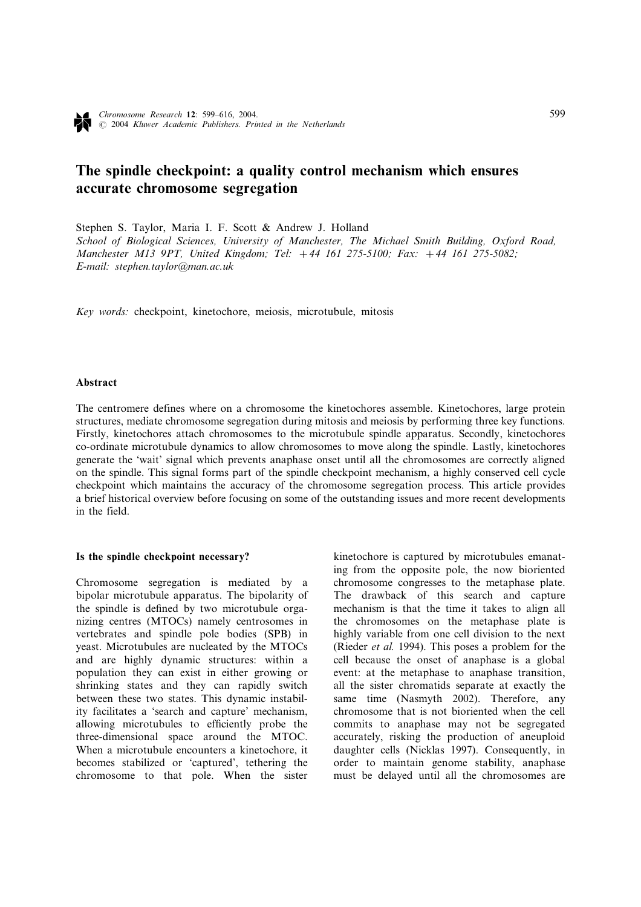# The spindle checkpoint: a quality control mechanism which ensures accurate chromosome segregation

Stephen S. Taylor, Maria I. F. Scott & Andrew J. Holland School of Biological Sciences, University of Manchester, The Michael Smith Building, Oxford Road, Manchester M13 9PT, United Kingdom; Tel:  $+44$  161 275-5100; Fax:  $+44$  161 275-5082; E-mail: stephen.taylor@man.ac.uk

Key words: checkpoint, kinetochore, meiosis, microtubule, mitosis

#### Abstract

The centromere defines where on a chromosome the kinetochores assemble. Kinetochores, large protein structures, mediate chromosome segregation during mitosis and meiosis by performing three key functions. Firstly, kinetochores attach chromosomes to the microtubule spindle apparatus. Secondly, kinetochores co-ordinate microtubule dynamics to allow chromosomes to move along the spindle. Lastly, kinetochores generate the 'wait'signal which prevents anaphase onset until all the chromosomes are correctly aligned on the spindle. This signal forms part of the spindle checkpoint mechanism, a highly conserved cell cycle checkpoint which maintains the accuracy of the chromosome segregation process. This article provides a brief historical overview before focusing on some of the outstanding issues and more recent developments in the field.

#### Is the spindle checkpoint necessary?

Chromosome segregation is mediated by a bipolar microtubule apparatus. The bipolarity of the spindle is defined by two microtubule organizing centres (MTOCs) namely centrosomes in vertebrates and spindle pole bodies (SPB) in yeast. Microtubules are nucleated by the MTOCs and are highly dynamic structures: within a population they can exist in either growing or shrinking states and they can rapidly switch between these two states. This dynamic instability facilitates a 'search and capture' mechanism, allowing microtubules to efficiently probe the three-dimensional space around the MTOC. When a microtubule encounters a kinetochore, it becomes stabilized or 'captured', tethering the chromosome to that pole. When the sister kinetochore is captured by microtubules emanating from the opposite pole, the now bioriented chromosome congresses to the metaphase plate. The drawback of this search and capture mechanism is that the time it takes to align all the chromosomes on the metaphase plate is highly variable from one cell division to the next (Rieder et al. 1994). This poses a problem for the cell because the onset of anaphase is a global event: at the metaphase to anaphase transition, all the sister chromatids separate at exactly the same time (Nasmyth 2002). Therefore, any chromosome that is not bioriented when the cell commits to anaphase may not be segregated accurately, risking the production of aneuploid daughter cells (Nicklas 1997). Consequently, in order to maintain genome stability, anaphase must be delayed until all the chromosomes are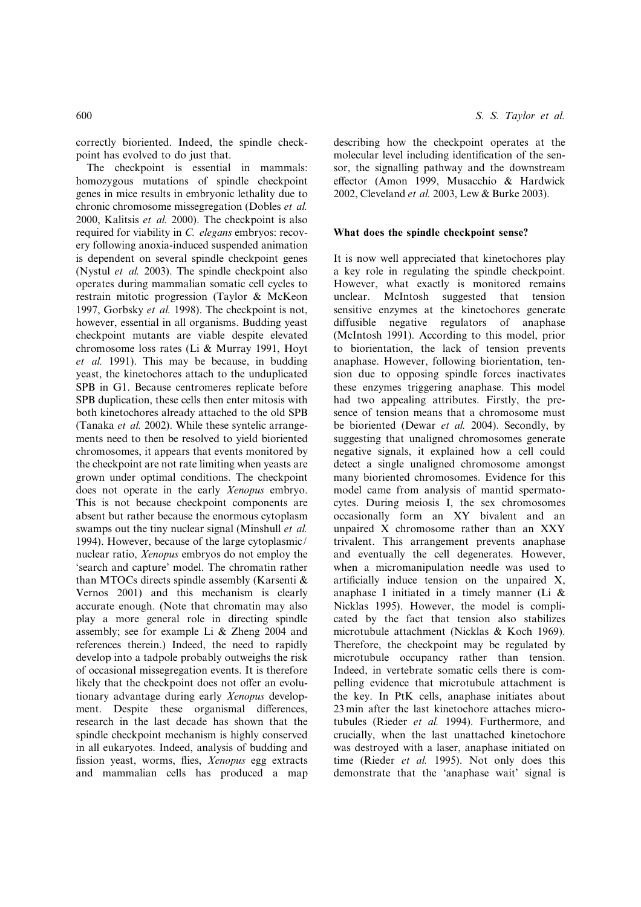correctly bioriented. Indeed, the spindle checkpoint has evolved to do just that.

The checkpoint is essential in mammals: homozygous mutations of spindle checkpoint genes in mice results in embryonic lethality due to chronic chromosome missegregation (Dobles et al. 2000, Kalitsis et al. 2000). The checkpoint is also required for viability in C. elegans embryos: recovery following anoxia-induced suspended animation is dependent on several spindle checkpoint genes (Nystul et al. 2003). The spindle checkpoint also operates during mammalian somatic cell cycles to restrain mitotic progression (Taylor & McKeon 1997, Gorbsky et al. 1998). The checkpoint is not, however, essential in all organisms. Budding yeast checkpoint mutants are viable despite elevated chromosome loss rates (Li & Murray 1991, Hoyt et al. 1991). This may be because, in budding yeast, the kinetochores attach to the unduplicated SPB in G1. Because centromeres replicate before SPB duplication, these cells then enter mitosis with both kinetochores already attached to the old SPB (Tanaka et al. 2002). While these syntelic arrangements need to then be resolved to yield bioriented chromosomes, it appears that events monitored by the checkpoint are not rate limiting when yeasts are grown under optimal conditions. The checkpoint does not operate in the early Xenopus embryo. This is not because checkpoint components are absent but rather because the enormous cytoplasm swamps out the tiny nuclear signal (Minshull *et al.*) 1994). However, because of the large cytoplasmic/ nuclear ratio, Xenopus embryos do not employ the 'search and capture'model. The chromatin rather than MTOCs directs spindle assembly (Karsenti & Vernos 2001) and this mechanism is clearly accurate enough. (Note that chromatin may also play a more general role in directing spindle assembly; see for example Li & Zheng 2004 and references therein.) Indeed, the need to rapidly develop into a tadpole probably outweighs the risk of occasional missegregation events. It is therefore likely that the checkpoint does not offer an evolutionary advantage during early Xenopus development. Despite these organismal differences, research in the last decade has shown that the spindle checkpoint mechanism is highly conserved in all eukaryotes. Indeed, analysis of budding and fission yeast, worms, flies, Xenopus egg extracts and mammalian cells has produced a map describing how the checkpoint operates at the molecular level including identification of the sensor, the signalling pathway and the downstream effector (Amon 1999, Musacchio & Hardwick 2002, Cleveland et al. 2003, Lew & Burke 2003).

#### What does the spindle checkpoint sense?

It is now well appreciated that kinetochores play a key role in regulating the spindle checkpoint. However, what exactly is monitored remains unclear. McIntosh suggested that tension sensitive enzymes at the kinetochores generate diffusible negative regulators of anaphase (McIntosh 1991). According to this model, prior to biorientation, the lack of tension prevents anaphase. However, following biorientation, tension due to opposing spindle forces inactivates these enzymes triggering anaphase. This model had two appealing attributes. Firstly, the presence of tension means that a chromosome must be bioriented (Dewar et al. 2004). Secondly, by suggesting that unaligned chromosomes generate negative signals, it explained how a cell could detect a single unaligned chromosome amongst many bioriented chromosomes. Evidence for this model came from analysis of mantid spermatocytes. During meiosis I, the sex chromosomes occasionally form an XY bivalent and an unpaired X chromosome rather than an XXY trivalent. This arrangement prevents anaphase and eventually the cell degenerates. However, when a micromanipulation needle was used to artificially induce tension on the unpaired X, anaphase I initiated in a timely manner (Li & Nicklas 1995). However, the model is complicated by the fact that tension also stabilizes microtubule attachment (Nicklas & Koch 1969). Therefore, the checkpoint may be regulated by microtubule occupancy rather than tension. Indeed, in vertebrate somatic cells there is compelling evidence that microtubule attachment is the key. In PtK cells, anaphase initiates about 23 min after the last kinetochore attaches microtubules (Rieder et al. 1994). Furthermore, and crucially, when the last unattached kinetochore was destroyed with a laser, anaphase initiated on time (Rieder et al. 1995). Not only does this demonstrate that the 'anaphase wait' signal is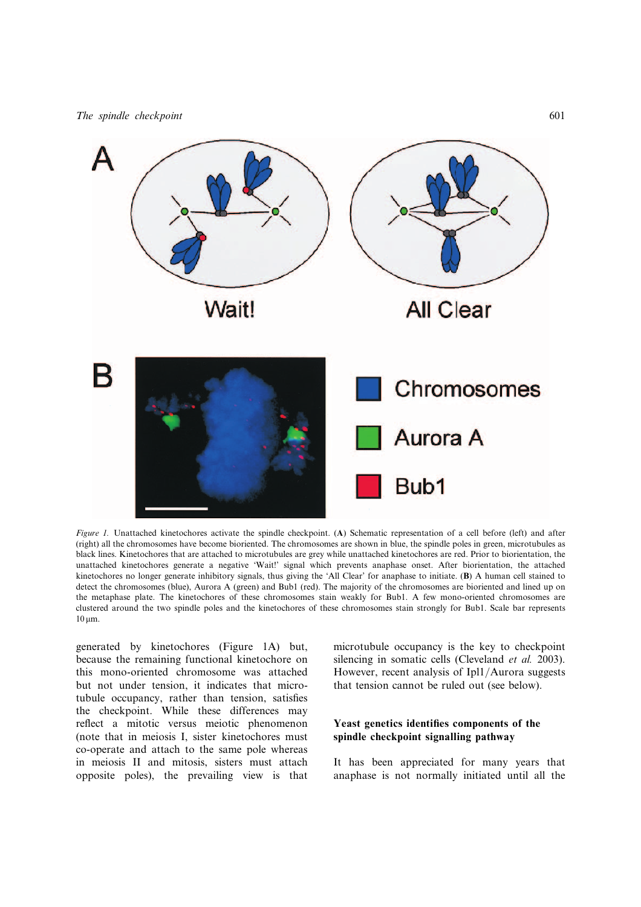

Figure 1. Unattached kinetochores activate the spindle checkpoint. (A) Schematic representation of a cell before (left) and after (right) all the chromosomes have become bioriented. The chromosomes are shown in blue, the spindle poles in green, microtubules as black lines. Kinetochores that are attached to microtubules are grey while unattached kinetochores are red. Prior to biorientation, the unattached kinetochores generate a negative 'Wait!' signal which prevents anaphase onset. After biorientation, the attached kinetochores no longer generate inhibitory signals, thus giving the 'All Clear' for anaphase to initiate. (B) A human cell stained to detect the chromosomes (blue), Aurora A (green) and Bub1 (red). The majority of the chromosomes are bioriented and lined up on the metaphase plate. The kinetochores of these chromosomes stain weakly for Bub1. A few mono-oriented chromosomes are clustered around the two spindle poles and the kinetochores of these chromosomes stain strongly for Bub1. Scale bar represents  $10 \mu m$ .

generated by kinetochores (Figure 1A) but, because the remaining functional kinetochore on this mono-oriented chromosome was attached but not under tension, it indicates that microtubule occupancy, rather than tension, satisfies the checkpoint. While these differences may reflect a mitotic versus meiotic phenomenon (note that in meiosis I, sister kinetochores must co-operate and attach to the same pole whereas in meiosis II and mitosis, sisters must attach opposite poles), the prevailing view is that

microtubule occupancy is the key to checkpoint silencing in somatic cells (Cleveland *et al.* 2003). However, recent analysis of Ipl1/Aurora suggests that tension cannot be ruled out (see below).

# Yeast genetics identifies components of the spindle checkpoint signalling pathway

It has been appreciated for many years that anaphase is not normally initiated until all the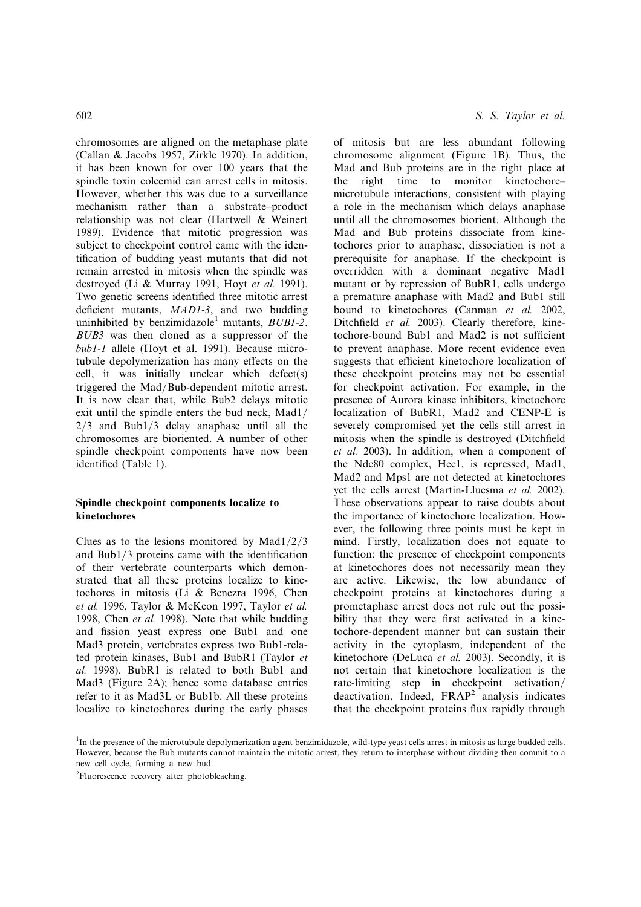chromosomes are aligned on the metaphase plate (Callan & Jacobs 1957, Zirkle 1970). In addition, it has been known for over 100 years that the spindle toxin colcemid can arrest cells in mitosis. However, whether this was due to a surveillance mechanism rather than a substrate–product relationship was not clear (Hartwell & Weinert 1989). Evidence that mitotic progression was subject to checkpoint control came with the identification of budding yeast mutants that did not remain arrested in mitosis when the spindle was destroyed (Li & Murray 1991, Hoyt et al. 1991). Two genetic screens identified three mitotic arrest deficient mutants, MAD1-3, and two budding uninhibited by benzimidazole<sup>1</sup> mutants,  $BUB1-2$ . BUB3 was then cloned as a suppressor of the bub1-1 allele (Hoyt et al. 1991). Because microtubule depolymerization has many effects on the cell, it was initially unclear which defect(s) triggered the Mad/Bub-dependent mitotic arrest. It is now clear that, while Bub2 delays mitotic exit until the spindle enters the bud neck, Mad1/ 2/3 and Bub1/3 delay anaphase until all the chromosomes are bioriented. A number of other spindle checkpoint components have now been identified (Table 1).

### Spindle checkpoint components localize to kinetochores

Clues as to the lesions monitored by Mad1/2/3 and Bub1/3 proteins came with the identification of their vertebrate counterparts which demonstrated that all these proteins localize to kinetochores in mitosis (Li & Benezra 1996, Chen et al. 1996, Taylor & McKeon 1997, Taylor et al. 1998, Chen et al. 1998). Note that while budding and fission yeast express one Bub1 and one Mad3 protein, vertebrates express two Bub1-related protein kinases, Bub1 and BubR1 (Taylor et al. 1998). BubR1 is related to both Bub1 and Mad3 (Figure 2A); hence some database entries refer to it as Mad3L or Bub1b. All these proteins localize to kinetochores during the early phases

602 S. S. Taylor et al.

of mitosis but are less abundant following chromosome alignment (Figure 1B). Thus, the Mad and Bub proteins are in the right place at the right time to monitor kinetochore– microtubule interactions, consistent with playing a role in the mechanism which delays anaphase until all the chromosomes biorient. Although the Mad and Bub proteins dissociate from kinetochores prior to anaphase, dissociation is not a prerequisite for anaphase. If the checkpoint is overridden with a dominant negative Mad1 mutant or by repression of BubR1, cells undergo a premature anaphase with Mad2 and Bub1 still bound to kinetochores (Canman et al. 2002, Ditchfield et al. 2003). Clearly therefore, kinetochore-bound Bub1 and Mad2 is not sufficient to prevent anaphase. More recent evidence even suggests that efficient kinetochore localization of these checkpoint proteins may not be essential for checkpoint activation. For example, in the presence of Aurora kinase inhibitors, kinetochore localization of BubR1, Mad2 and CENP-E is severely compromised yet the cells still arrest in mitosis when the spindle is destroyed (Ditchfield et al. 2003). In addition, when a component of the Ndc80 complex, Hec1, is repressed, Mad1, Mad2 and Mps1 are not detected at kinetochores yet the cells arrest (Martin-Lluesma et al. 2002). These observations appear to raise doubts about the importance of kinetochore localization. However, the following three points must be kept in mind. Firstly, localization does not equate to function: the presence of checkpoint components at kinetochores does not necessarily mean they are active. Likewise, the low abundance of checkpoint proteins at kinetochores during a prometaphase arrest does not rule out the possibility that they were first activated in a kinetochore-dependent manner but can sustain their activity in the cytoplasm, independent of the kinetochore (DeLuca et al. 2003). Secondly, it is not certain that kinetochore localization is the rate-limiting step in checkpoint activation/ deactivation. Indeed, FRAP<sup>2</sup> analysis indicates that the checkpoint proteins flux rapidly through

<sup>&</sup>lt;sup>1</sup>In the presence of the microtubule depolymerization agent benzimidazole, wild-type yeast cells arrest in mitosis as large budded cells. However, because the Bub mutants cannot maintain the mitotic arrest, they return to interphase without dividing then commit to a new cell cycle, forming a new bud.

<sup>&</sup>lt;sup>2</sup>Fluorescence recovery after photobleaching.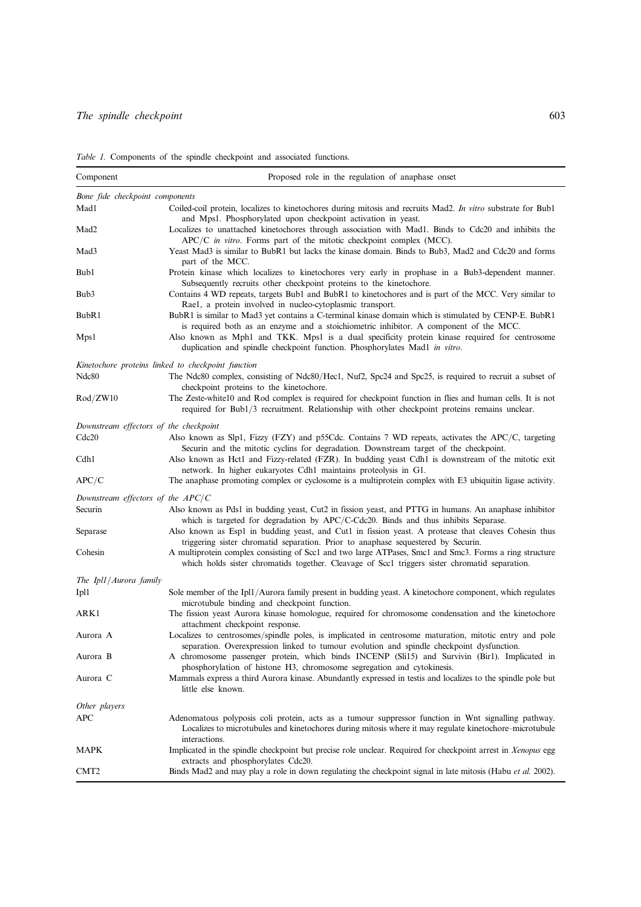| <i>Table 1.</i> Components of the spindle checkpoint and associated functions. |  |  |  |  |
|--------------------------------------------------------------------------------|--|--|--|--|
|--------------------------------------------------------------------------------|--|--|--|--|

| Component                              | Proposed role in the regulation of anaphase onset                                                                                                                                                                               |
|----------------------------------------|---------------------------------------------------------------------------------------------------------------------------------------------------------------------------------------------------------------------------------|
| Bone fide checkpoint components        |                                                                                                                                                                                                                                 |
| Mad1                                   | Coiled-coil protein, localizes to kinetochores during mitosis and recruits Mad2. In vitro substrate for Bub1<br>and Mps1. Phosphorylated upon checkpoint activation in yeast.                                                   |
| Mad2                                   | Localizes to unattached kinetochores through association with Mad1. Binds to Cdc20 and inhibits the<br>$APC/C$ in vitro. Forms part of the mitotic checkpoint complex (MCC).                                                    |
| Mad3                                   | Yeast Mad3 is similar to BubR1 but lacks the kinase domain. Binds to Bub3, Mad2 and Cdc20 and forms<br>part of the MCC.                                                                                                         |
| Bub <sub>1</sub>                       | Protein kinase which localizes to kinetochores very early in prophase in a Bub3-dependent manner.<br>Subsequently recruits other checkpoint proteins to the kinetochore.                                                        |
| Bub3                                   | Contains 4 WD repeats, targets Bub1 and BubR1 to kinetochores and is part of the MCC. Very similar to<br>Rael, a protein involved in nucleo-cytoplasmic transport.                                                              |
| BubR1                                  | BubR1 is similar to Mad3 yet contains a C-terminal kinase domain which is stimulated by CENP-E. BubR1<br>is required both as an enzyme and a stoichiometric inhibitor. A component of the MCC.                                  |
| <b>Mps1</b>                            | Also known as Mph1 and TKK. Mps1 is a dual specificity protein kinase required for centrosome<br>duplication and spindle checkpoint function. Phosphorylates Mad1 in vitro.                                                     |
|                                        | Kinetochore proteins linked to checkpoint function                                                                                                                                                                              |
| Ndc80                                  | The Ndc80 complex, consisting of Ndc80/Hec1, Nuf2, Spc24 and Spc25, is required to recruit a subset of<br>checkpoint proteins to the kinetochore.                                                                               |
| Rod/ZW10                               | The Zeste-white10 and Rod complex is required for checkpoint function in flies and human cells. It is not<br>required for Bub1/3 recruitment. Relationship with other checkpoint proteins remains unclear.                      |
| Downstream effectors of the checkpoint |                                                                                                                                                                                                                                 |
| Cdc20                                  | Also known as Slp1, Fizzy (FZY) and p55Cdc. Contains 7 WD repeats, activates the APC/C, targeting<br>Securin and the mitotic cyclins for degradation. Downstream target of the checkpoint.                                      |
| Cdh1                                   | Also known as Hct1 and Fizzy-related (FZR). In budding yeast Cdh1 is downstream of the mitotic exit<br>network. In higher eukaryotes Cdh1 maintains proteolysis in G1.                                                          |
| APC/C                                  | The anaphase promoting complex or cyclosome is a multiprotein complex with E3 ubiquitin ligase activity.                                                                                                                        |
| Downstream effectors of the $APC/C$    |                                                                                                                                                                                                                                 |
| Securin                                | Also known as Pds1 in budding yeast, Cut2 in fission yeast, and PTTG in humans. An anaphase inhibitor<br>which is targeted for degradation by APC/C-Cdc20. Binds and thus inhibits Separase.                                    |
| Separase                               | Also known as Esp1 in budding yeast, and Cut1 in fission yeast. A protease that cleaves Cohesin thus<br>triggering sister chromatid separation. Prior to anaphase sequestered by Securin.                                       |
| Cohesin                                | A multiprotein complex consisting of Scc1 and two large ATPases, Smc1 and Smc3. Forms a ring structure<br>which holds sister chromatids together. Cleavage of Scc1 triggers sister chromatid separation.                        |
| The Ipl1/Aurora family                 |                                                                                                                                                                                                                                 |
| Ip11                                   | Sole member of the Ipl1/Aurora family present in budding yeast. A kinetochore component, which regulates<br>microtubule binding and checkpoint function.                                                                        |
| ARK1                                   | The fission yeast Aurora kinase homologue, required for chromosome condensation and the kinetochore<br>attachment checkpoint response.                                                                                          |
| Aurora A                               | Localizes to centrosomes/spindle poles, is implicated in centrosome maturation, mitotic entry and pole<br>separation. Overexpression linked to tumour evolution and spindle checkpoint dysfunction.                             |
| Aurora B                               | A chromosome passenger protein, which binds INCENP (Sli15) and Survivin (Bir1). Implicated in<br>phosphorylation of histone H3, chromosome segregation and cytokinesis.                                                         |
| Aurora C                               | Mammals express a third Aurora kinase. Abundantly expressed in testis and localizes to the spindle pole but<br>little else known.                                                                                               |
| Other players                          |                                                                                                                                                                                                                                 |
| <b>APC</b>                             | Adenomatous polyposis coli protein, acts as a tumour suppressor function in Wnt signalling pathway.<br>Localizes to microtubules and kinetochores during mitosis where it may regulate kinetochore-microtubule<br>interactions. |
| <b>MAPK</b>                            | Implicated in the spindle checkpoint but precise role unclear. Required for checkpoint arrest in <i>Xenopus</i> egg<br>extracts and phosphorylates Cdc20.                                                                       |
| CMT <sub>2</sub>                       | Binds Mad2 and may play a role in down regulating the checkpoint signal in late mitosis (Habu et al. 2002).                                                                                                                     |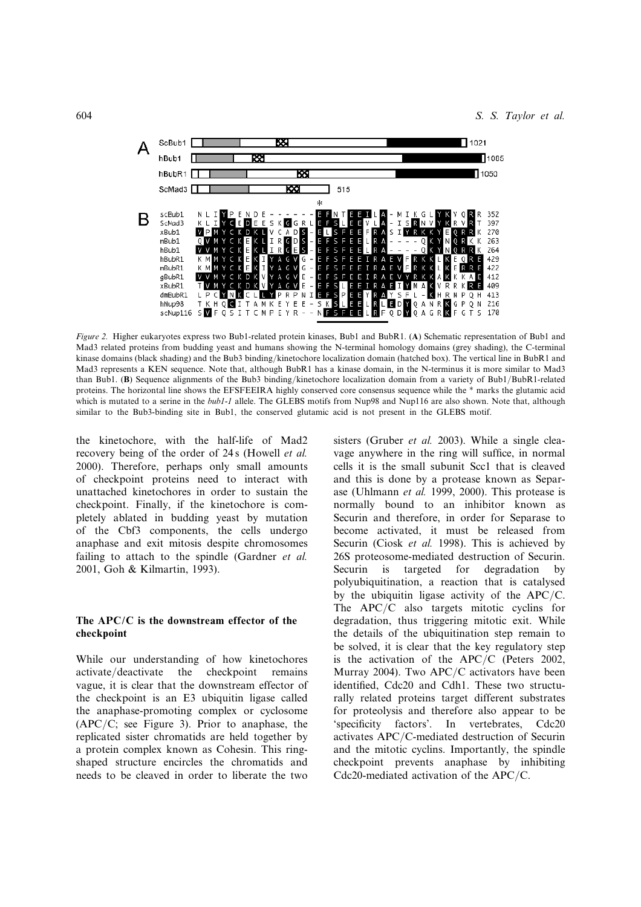

Figure 2. Higher eukaryotes express two Bub1-related protein kinases, Bub1 and BubR1. (A) Schematic representation of Bub1 and Mad3 related proteins from budding yeast and humans showing the N-terminal homology domains (grey shading), the C-terminal kinase domains (black shading) and the Bub3 binding/kinetochore localization domain (hatched box). The vertical line in BubR1 and Mad3 represents a KEN sequence. Note that, although BubR1 has a kinase domain, in the N-terminus it is more similar to Mad3 than Bub1. (B) Sequence alignments of the Bub3 binding/kinetochore localization domain from a variety of Bub1/BubR1-related proteins. The horizontal line shows the EFSFEEIRA highly conserved core consensus sequence while the \* marks the glutamic acid which is mutated to a serine in the bub1-1 allele. The GLEBS motifs from Nup98 and Nup116 are also shown. Note that, although similar to the Bub3-binding site in Bub1, the conserved glutamic acid is not present in the GLEBS motif.

the kinetochore, with the half-life of Mad2 recovery being of the order of 24 s (Howell *et al.*) 2000). Therefore, perhaps only small amounts of checkpoint proteins need to interact with unattached kinetochores in order to sustain the checkpoint. Finally, if the kinetochore is completely ablated in budding yeast by mutation of the Cbf3 components, the cells undergo anaphase and exit mitosis despite chromosomes failing to attach to the spindle (Gardner  $et$  al. 2001, Goh & Kilmartin, 1993).

# The APC/C is the downstream effector of the checkpoint

While our understanding of how kinetochores activate/deactivate the checkpoint remains vague, it is clear that the downstream effector of the checkpoint is an E3 ubiquitin ligase called the anaphase-promoting complex or cyclosome (APC/C; see Figure 3). Prior to anaphase, the replicated sister chromatids are held together by a protein complex known as Cohesin. This ringshaped structure encircles the chromatids and needs to be cleaved in order to liberate the two

sisters (Gruber *et al.* 2003). While a single cleavage anywhere in the ring will suffice, in normal cells it is the small subunit Scc1 that is cleaved and this is done by a protease known as Separase (Uhlmann et al. 1999, 2000). This protease is normally bound to an inhibitor known as Securin and therefore, in order for Separase to become activated, it must be released from Securin (Ciosk et al. 1998). This is achieved by 26S proteosome-mediated destruction of Securin.<br>Securin is targeted for degradation by Securin is targeted for degradation by polyubiquitination, a reaction that is catalysed by the ubiquitin ligase activity of the APC/C. The APC/C also targets mitotic cyclins for degradation, thus triggering mitotic exit. While the details of the ubiquitination step remain to be solved, it is clear that the key regulatory step is the activation of the APC/C (Peters 2002, Murray 2004). Two APC/C activators have been identified, Cdc20 and Cdh1. These two structurally related proteins target different substrates for proteolysis and therefore also appear to be 'specificity factors'. In vertebrates, Cdc20 activates APC/C-mediated destruction of Securin and the mitotic cyclins. Importantly, the spindle checkpoint prevents anaphase by inhibiting Cdc20-mediated activation of the APC/C.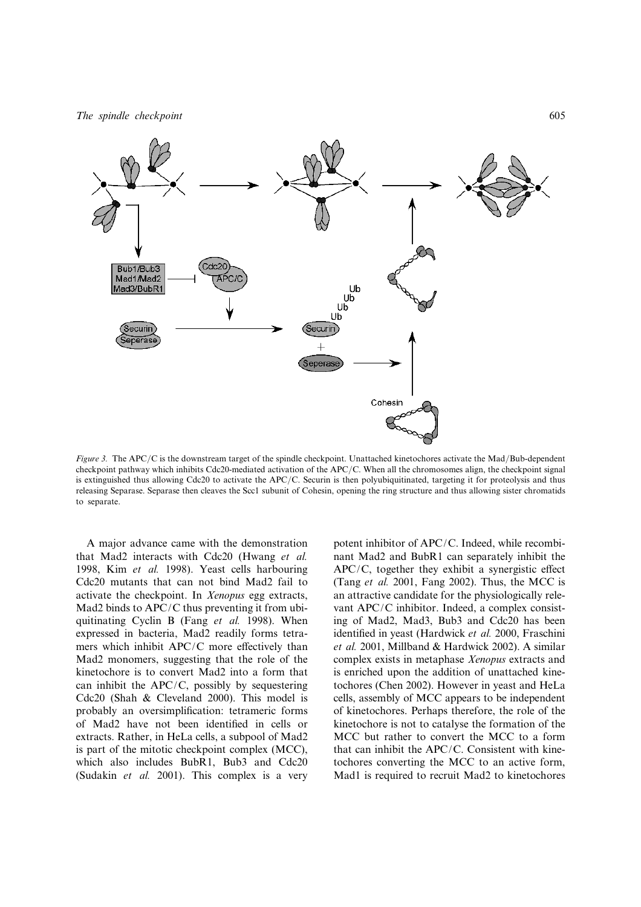

Figure 3. The APC/C is the downstream target of the spindle checkpoint. Unattached kinetochores activate the Mad/Bub-dependent checkpoint pathway which inhibits Cdc20-mediated activation of the APC/C. When all the chromosomes align, the checkpoint signal is extinguished thus allowing Cdc20 to activate the APC/C. Securin is then polyubiquitinated, targeting it for proteolysis and thus releasing Separase. Separase then cleaves the Scc1 subunit of Cohesin, opening the ring structure and thus allowing sister chromatids to separate.

A major advance came with the demonstration that Mad2 interacts with Cdc20 (Hwang et al. 1998, Kim et al. 1998). Yeast cells harbouring Cdc20 mutants that can not bind Mad2 fail to activate the checkpoint. In Xenopus egg extracts, Mad2 binds to APC/C thus preventing it from ubiquitinating Cyclin B (Fang et al. 1998). When expressed in bacteria, Mad2 readily forms tetramers which inhibit  $APC/C$  more effectively than Mad2 monomers, suggesting that the role of the kinetochore is to convert Mad2 into a form that can inhibit the APC/C, possibly by sequestering Cdc20 (Shah & Cleveland 2000). This model is probably an oversimplification: tetrameric forms of Mad2 have not been identified in cells or extracts. Rather, in HeLa cells, a subpool of Mad2 is part of the mitotic checkpoint complex (MCC), which also includes BubR1, Bub3 and Cdc20 (Sudakin et al. 2001). This complex is a very

potent inhibitor of APC/C. Indeed, while recombinant Mad2 and BubR1 can separately inhibit the  $APC/C$ , together they exhibit a synergistic effect (Tang et al. 2001, Fang 2002). Thus, the MCC is an attractive candidate for the physiologically relevant APC/C inhibitor. Indeed, a complex consisting of Mad2, Mad3, Bub3 and Cdc20 has been identified in yeast (Hardwick et al. 2000, Fraschini et al. 2001, Millband & Hardwick 2002). A similar complex exists in metaphase Xenopus extracts and is enriched upon the addition of unattached kinetochores (Chen 2002). However in yeast and HeLa cells, assembly of MCC appears to be independent of kinetochores. Perhaps therefore, the role of the kinetochore is not to catalyse the formation of the MCC but rather to convert the MCC to a form that can inhibit the APC/C. Consistent with kinetochores converting the MCC to an active form, Mad1 is required to recruit Mad2 to kinetochores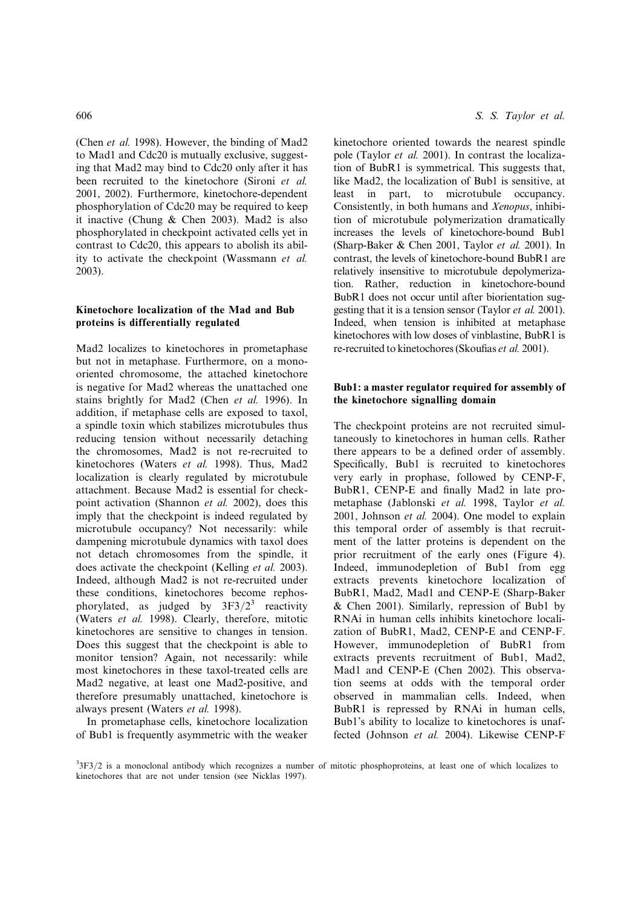(Chen et al. 1998). However, the binding of Mad2 to Mad1 and Cdc20 is mutually exclusive, suggesting that Mad2 may bind to Cdc20 only after it has been recruited to the kinetochore (Sironi et al. 2001, 2002). Furthermore, kinetochore-dependent phosphorylation of Cdc20 may be required to keep it inactive (Chung & Chen 2003). Mad2 is also phosphorylated in checkpoint activated cells yet in contrast to Cdc20, this appears to abolish its ability to activate the checkpoint (Wassmann et al. 2003).

### Kinetochore localization of the Mad and Bub proteins is differentially regulated

Mad2 localizes to kinetochores in prometaphase but not in metaphase. Furthermore, on a monooriented chromosome, the attached kinetochore is negative for Mad2 whereas the unattached one stains brightly for Mad2 (Chen et al. 1996). In addition, if metaphase cells are exposed to taxol, a spindle toxin which stabilizes microtubules thus reducing tension without necessarily detaching the chromosomes, Mad2 is not re-recruited to kinetochores (Waters et al. 1998). Thus, Mad2 localization is clearly regulated by microtubule attachment. Because Mad2 is essential for checkpoint activation (Shannon et al. 2002), does this imply that the checkpoint is indeed regulated by microtubule occupancy? Not necessarily: while dampening microtubule dynamics with taxol does not detach chromosomes from the spindle, it does activate the checkpoint (Kelling et al. 2003). Indeed, although Mad2 is not re-recruited under these conditions, kinetochores become rephosphorylated, as judged by  $3F3/2^3$  reactivity (Waters et al. 1998). Clearly, therefore, mitotic kinetochores are sensitive to changes in tension. Does this suggest that the checkpoint is able to monitor tension? Again, not necessarily: while most kinetochores in these taxol-treated cells are Mad2 negative, at least one Mad2-positive, and therefore presumably unattached, kinetochore is always present (Waters et al. 1998).

In prometaphase cells, kinetochore localization of Bub1 is frequently asymmetric with the weaker

kinetochore oriented towards the nearest spindle pole (Taylor et al. 2001). In contrast the localization of BubR1 is symmetrical. This suggests that, like Mad2, the localization of Bub1 is sensitive, at least in part, to microtubule occupancy. Consistently, in both humans and Xenopus, inhibition of microtubule polymerization dramatically increases the levels of kinetochore-bound Bub1 (Sharp-Baker & Chen 2001, Taylor et al. 2001). In contrast, the levels of kinetochore-bound BubR1 are relatively insensitive to microtubule depolymerization. Rather, reduction in kinetochore-bound BubR1 does not occur until after biorientation suggesting that it is a tension sensor (Taylor et al. 2001). Indeed, when tension is inhibited at metaphase kinetochores with low doses of vinblastine, BubR1 is re-recruited to kinetochores (Skoufias et al. 2001).

# Bub1: a master regulator required for assembly of the kinetochore signalling domain

The checkpoint proteins are not recruited simultaneously to kinetochores in human cells. Rather there appears to be a defined order of assembly. Specifically, Bub1 is recruited to kinetochores very early in prophase, followed by CENP-F, BubR1, CENP-E and finally Mad2 in late prometaphase (Jablonski et al. 1998, Taylor et al. 2001, Johnson et al. 2004). One model to explain this temporal order of assembly is that recruitment of the latter proteins is dependent on the prior recruitment of the early ones (Figure 4). Indeed, immunodepletion of Bub1 from egg extracts prevents kinetochore localization of BubR1, Mad2, Mad1 and CENP-E (Sharp-Baker & Chen 2001). Similarly, repression of Bub1 by RNAi in human cells inhibits kinetochore localization of BubR1, Mad2, CENP-E and CENP-F. However, immunodepletion of BubR1 from extracts prevents recruitment of Bub1, Mad2, Mad1 and CENP-E (Chen 2002). This observation seems at odds with the temporal order observed in mammalian cells. Indeed, when BubR1 is repressed by RNAi in human cells, Bub1's ability to localize to kinetochores is unaffected (Johnson et al. 2004). Likewise CENP-F

3 3F3/2 is a monoclonal antibody which recognizes a number of mitotic phosphoproteins, at least one of which localizes to kinetochores that are not under tension (see Nicklas 1997).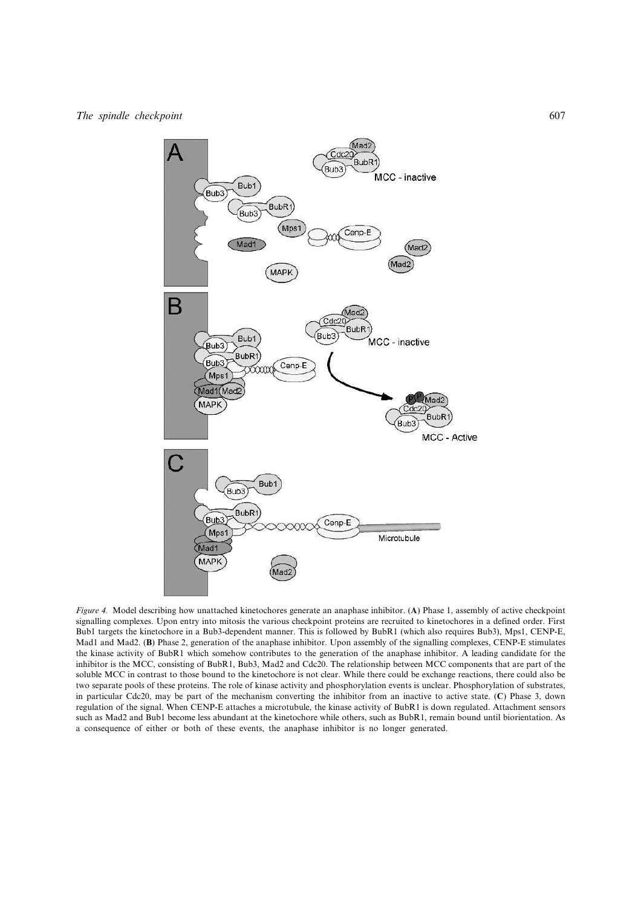

Figure 4. Model describing how unattached kinetochores generate an anaphase inhibitor. (A) Phase 1, assembly of active checkpoint signalling complexes. Upon entry into mitosis the various checkpoint proteins are recruited to kinetochores in a defined order. First Bub1 targets the kinetochore in a Bub3-dependent manner. This is followed by BubR1 (which also requires Bub3), Mps1, CENP-E, Mad1 and Mad2. (B) Phase 2, generation of the anaphase inhibitor. Upon assembly of the signalling complexes, CENP-E stimulates the kinase activity of BubR1 which somehow contributes to the generation of the anaphase inhibitor. A leading candidate for the inhibitor is the MCC, consisting of BubR1, Bub3, Mad2 and Cdc20. The relationship between MCC components that are part of the soluble MCC in contrast to those bound to the kinetochore is not clear. While there could be exchange reactions, there could also be two separate pools of these proteins. The role of kinase activity and phosphorylation events is unclear. Phosphorylation of substrates, in particular Cdc20, may be part of the mechanism converting the inhibitor from an inactive to active state. (C) Phase 3, down regulation of the signal. When CENP-E attaches a microtubule, the kinase activity of BubR1 is down regulated. Attachment sensors such as Mad2 and Bub1 become less abundant at the kinetochore while others, such as BubR1, remain bound until biorientation. As a consequence of either or both of these events, the anaphase inhibitor is no longer generated.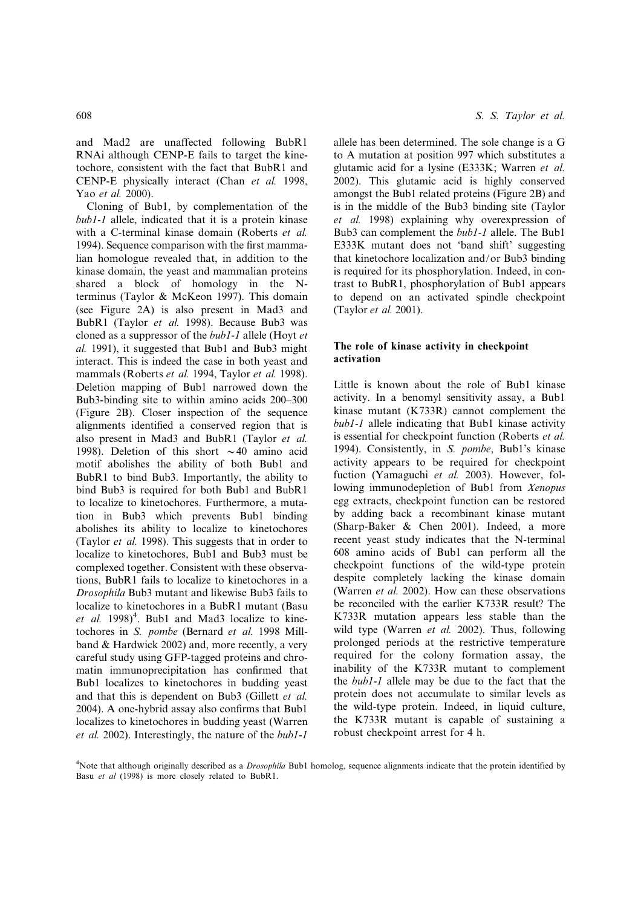and Mad2 are unaffected following BubR1 RNAi although CENP-E fails to target the kinetochore, consistent with the fact that BubR1 and CENP-E physically interact (Chan et al. 1998, Yao et al. 2000).

Cloning of Bub1, by complementation of the bub1-1 allele, indicated that it is a protein kinase with a C-terminal kinase domain (Roberts et al. 1994). Sequence comparison with the first mammalian homologue revealed that, in addition to the kinase domain, the yeast and mammalian proteins shared a block of homology in the Nterminus (Taylor & McKeon 1997). This domain (see Figure 2A) is also present in Mad3 and BubR1 (Taylor et al. 1998). Because Bub3 was cloned as a suppressor of the bub1-1 allele (Hoyt et al. 1991), it suggested that Bub1 and Bub3 might interact. This is indeed the case in both yeast and mammals (Roberts et al. 1994, Taylor et al. 1998). Deletion mapping of Bub1 narrowed down the Bub3-binding site to within amino acids 200-300 (Figure 2B). Closer inspection of the sequence alignments identified a conserved region that is also present in Mad3 and BubR1 (Taylor et al. 1998). Deletion of this short  $\sim$  40 amino acid motif abolishes the ability of both Bub1 and BubR1 to bind Bub3. Importantly, the ability to bind Bub3 is required for both Bub1 and BubR1 to localize to kinetochores. Furthermore, a mutation in Bub3 which prevents Bub1 binding abolishes its ability to localize to kinetochores (Taylor et al. 1998). This suggests that in order to localize to kinetochores, Bub1 and Bub3 must be complexed together. Consistent with these observations, BubR1 fails to localize to kinetochores in a Drosophila Bub3 mutant and likewise Bub3 fails to localize to kinetochores in a BubR1 mutant (Basu et al.  $1998$ <sup>4</sup>. Bub1 and Mad3 localize to kinetochores in S. pombe (Bernard et al. 1998 Millband & Hardwick 2002) and, more recently, a very careful study using GFP-tagged proteins and chromatin immunoprecipitation has confirmed that Bub1 localizes to kinetochores in budding yeast and that this is dependent on Bub3 (Gillett et al. 2004). A one-hybrid assay also confirms that Bub1 localizes to kinetochores in budding yeast (Warren et al. 2002). Interestingly, the nature of the bub1-1

allele has been determined. The sole change is a G to A mutation at position 997 which substitutes a glutamic acid for a lysine (E333K; Warren et al. 2002). This glutamic acid is highly conserved amongst the Bub1 related proteins (Figure 2B) and is in the middle of the Bub3 binding site (Taylor et al. 1998) explaining why overexpression of Bub3 can complement the bub1-1 allele. The Bub1 E333K mutant does not 'band shift' suggesting that kinetochore localization and/or Bub3 binding is required for its phosphorylation. Indeed, in contrast to BubR1, phosphorylation of Bub1 appears to depend on an activated spindle checkpoint (Taylor et al. 2001).

## The role of kinase activity in checkpoint activation

Little is known about the role of Bub1 kinase activity. In a benomyl sensitivity assay, a Bub1 kinase mutant (K733R) cannot complement the  $bub1-1$  allele indicating that Bub1 kinase activity is essential for checkpoint function (Roberts et al. 1994). Consistently, in S. pombe, Bub1's kinase activity appears to be required for checkpoint fuction (Yamaguchi et al. 2003). However, following immunodepletion of Bub1 from Xenopus egg extracts, checkpoint function can be restored by adding back a recombinant kinase mutant (Sharp-Baker & Chen 2001). Indeed, a more recent yeast study indicates that the N-terminal 608 amino acids of Bub1 can perform all the checkpoint functions of the wild-type protein despite completely lacking the kinase domain (Warren et al. 2002). How can these observations be reconciled with the earlier K733R result? The K733R mutation appears less stable than the wild type (Warren et al. 2002). Thus, following prolonged periods at the restrictive temperature required for the colony formation assay, the inability of the K733R mutant to complement the bub1-1 allele may be due to the fact that the protein does not accumulate to similar levels as the wild-type protein. Indeed, in liquid culture, the K733R mutant is capable of sustaining a robust checkpoint arrest for 4 h.

<sup>4</sup>Note that although originally described as a *Drosophila* Bub1 homolog, sequence alignments indicate that the protein identified by Basu et al (1998) is more closely related to BubR1.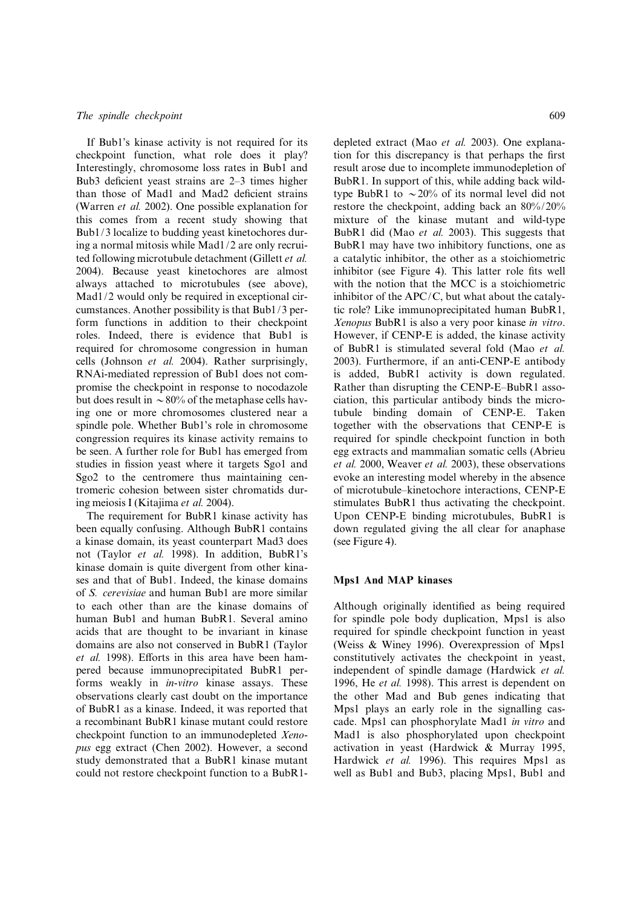## The spindle checkpoint 609

If Bub1's kinase activity is not required for its checkpoint function, what role does it play? Interestingly, chromosome loss rates in Bub1 and Bub3 deficient yeast strains are  $2-3$  times higher than those of Mad1 and Mad2 deficient strains (Warren et al. 2002). One possible explanation for this comes from a recent study showing that Bub1/3 localize to budding yeast kinetochores during a normal mitosis while Mad1/2 are only recruited following microtubule detachment (Gillett et al. 2004). Because yeast kinetochores are almost always attached to microtubules (see above), Mad1/2 would only be required in exceptional circumstances. Another possibility is that Bub1/3 perform functions in addition to their checkpoint roles. Indeed, there is evidence that Bub1 is required for chromosome congression in human cells (Johnson et al. 2004). Rather surprisingly, RNAi-mediated repression of Bub1 does not compromise the checkpoint in response to nocodazole but does result in  $\sim$  80% of the metaphase cells having one or more chromosomes clustered near a spindle pole. Whether Bub1's role in chromosome congression requires its kinase activity remains to be seen. A further role for Bub1 has emerged from studies in fission yeast where it targets Sgo1 and Sgo2 to the centromere thus maintaining centromeric cohesion between sister chromatids during meiosis I (Kitajima et al. 2004).

The requirement for BubR1 kinase activity has been equally confusing. Although BubR1 contains a kinase domain, its yeast counterpart Mad3 does not (Taylor et al. 1998). In addition, BubR1's kinase domain is quite divergent from other kinases and that of Bub1. Indeed, the kinase domains of S. cerevisiae and human Bub1 are more similar to each other than are the kinase domains of human Bub1 and human BubR1. Several amino acids that are thought to be invariant in kinase domains are also not conserved in BubR1 (Taylor et al. 1998). Efforts in this area have been hampered because immunoprecipitated BubR1 performs weakly in in-vitro kinase assays. These observations clearly cast doubt on the importance of BubR1 as a kinase. Indeed, it was reported that a recombinant BubR1 kinase mutant could restore checkpoint function to an immunodepleted Xenopus egg extract (Chen 2002). However, a second study demonstrated that a BubR1 kinase mutant could not restore checkpoint function to a BubR1depleted extract (Mao et al. 2003). One explanation for this discrepancy is that perhaps the first result arose due to incomplete immunodepletion of BubR1. In support of this, while adding back wildtype BubR1 to  $\sim$  20% of its normal level did not restore the checkpoint, adding back an 80%/20% mixture of the kinase mutant and wild-type BubR1 did (Mao et al. 2003). This suggests that BubR1 may have two inhibitory functions, one as a catalytic inhibitor, the other as a stoichiometric inhibitor (see Figure 4). This latter role fits well with the notion that the MCC is a stoichiometric inhibitor of the APC/C, but what about the catalytic role? Like immunoprecipitated human BubR1, Xenopus BubR1 is also a very poor kinase in vitro. However, if CENP-E is added, the kinase activity of BubR1 is stimulated several fold (Mao et al. 2003). Furthermore, if an anti-CENP-E antibody is added, BubR1 activity is down regulated. Rather than disrupting the CENP-E-BubR1 association, this particular antibody binds the microtubule binding domain of CENP-E. Taken together with the observations that CENP-E is required for spindle checkpoint function in both egg extracts and mammalian somatic cells (Abrieu et al. 2000, Weaver et al. 2003), these observations evoke an interesting model whereby in the absence of microtubule^kinetochore interactions, CENP-E stimulates BubR1 thus activating the checkpoint. Upon CENP-E binding microtubules, BubR1 is down regulated giving the all clear for anaphase (see Figure 4).

#### Mps1 And MAP kinases

Although originally identified as being required for spindle pole body duplication, Mps1 is also required for spindle checkpoint function in yeast (Weiss & Winey 1996). Overexpression of Mps1 constitutively activates the checkpoint in yeast, independent of spindle damage (Hardwick et al. 1996, He et al. 1998). This arrest is dependent on the other Mad and Bub genes indicating that Mps1 plays an early role in the signalling cascade. Mps1 can phosphorylate Mad1 in vitro and Mad1 is also phosphorylated upon checkpoint activation in yeast (Hardwick & Murray 1995, Hardwick et al. 1996). This requires Mps1 as well as Bub1 and Bub3, placing Mps1, Bub1 and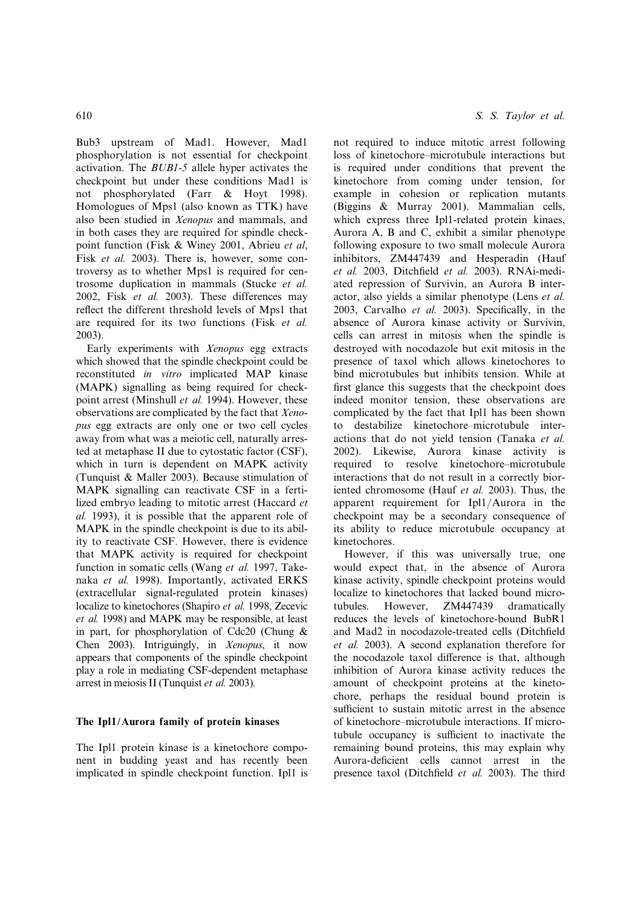Bub3 upstream of Mad1. However, Mad1 phosphorylation is not essential for checkpoint activation. The BUB1-5 allele hyper activates the checkpoint but under these conditions Mad1 is not phosphorylated (Farr & Hoyt 1998). Homologues of Mps1 (also known as TTK) have also been studied in Xenopus and mammals, and in both cases they are required for spindle checkpoint function (Fisk & Winey 2001, Abrieu et al, Fisk et al. 2003). There is, however, some controversy as to whether Mps1 is required for centrosome duplication in mammals (Stucke et al. 2002, Fisk et al. 2003). These differences may reflect the different threshold levels of Mps1 that are required for its two functions (Fisk et al. 2003).

Early experiments with Xenopus egg extracts which showed that the spindle checkpoint could be reconstituted in vitro implicated MAP kinase (MAPK) signalling as being required for checkpoint arrest (Minshull et al. 1994). However, these observations are complicated by the fact that Xenopus egg extracts are only one or two cell cycles away from what was a meiotic cell, naturally arrested at metaphase II due to cytostatic factor (CSF), which in turn is dependent on MAPK activity (Tunquist & Maller 2003). Because stimulation of MAPK signalling can reactivate CSF in a fertilized embryo leading to mitotic arrest (Haccard et al. 1993), it is possible that the apparent role of MAPK in the spindle checkpoint is due to its ability to reactivate CSF. However, there is evidence that MAPK activity is required for checkpoint function in somatic cells (Wang et al. 1997, Takenaka et al. 1998). Importantly, activated ERKS (extracellular signal-regulated protein kinases) localize to kinetochores (Shapiro et al. 1998, Zecevic et al. 1998) and MAPK may be responsible, at least in part, for phosphorylation of Cdc20 (Chung & Chen 2003). Intriguingly, in Xenopus, it now appears that components of the spindle checkpoint play a role in mediating CSF-dependent metaphase arrest in meiosis II (Tunquist et al. 2003).

### The Ipl1/Aurora family of protein kinases

The Ipl1 protein kinase is a kinetochore component in budding yeast and has recently been implicated in spindle checkpoint function. Ipl1 is

610 S. S. Taylor et al.

not required to induce mitotic arrest following loss of kinetochore–microtubule interactions but is required under conditions that prevent the kinetochore from coming under tension, for example in cohesion or replication mutants (Biggins & Murray 2001). Mammalian cells, which express three Ipl1-related protein kinaes, Aurora A, B and C, exhibit a similar phenotype followingexposure to two small molecule Aurora inhibitors, ZM447439 and Hesperadin (Hauf et al. 2003, Ditchfield et al. 2003). RNAi-mediated repression of Survivin, an Aurora B interactor, also yields a similar phenotype (Lens et al. 2003, Carvalho et al. 2003). Specifically, in the absence of Aurora kinase activity or Survivin, cells can arrest in mitosis when the spindle is destroyed with nocodazole but exit mitosis in the presence of taxol which allows kinetochores to bind microtubules but inhibits tension. While at first glance this suggests that the checkpoint does indeed monitor tension, these observations are complicated by the fact that Ipl1 has been shown to destabilize kinetochore–microtubule interactions that do not yield tension (Tanaka et al. 2002). Likewise, Aurora kinase activity is required to resolve kinetochore–microtubule interactions that do not result in a correctly bioriented chromosome (Hauf et al. 2003). Thus, the apparent requirement for Ipl1/Aurora in the checkpoint may be a secondary consequence of its ability to reduce microtubule occupancy at kinetochores.

However, if this was universally true, one would expect that, in the absence of Aurora kinase activity, spindle checkpoint proteins would localize to kinetochores that lacked bound microtubules. However, ZM447439 dramatically reduces the levels of kinetochore-bound BubR1 and Mad2 in nocodazole-treated cells (Ditchfield et al. 2003). A second explanation therefore for the nocodazole taxol difference is that, although inhibition of Aurora kinase activity reduces the amount of checkpoint proteins at the kinetochore, perhaps the residual bound protein is sufficient to sustain mitotic arrest in the absence of kinetochore^microtubule interactions. If microtubule occupancy is sufficient to inactivate the remaining bound proteins, this may explain why Aurora-deficient cells cannot arrest in the presence taxol (Ditchfield  $et$  al. 2003). The third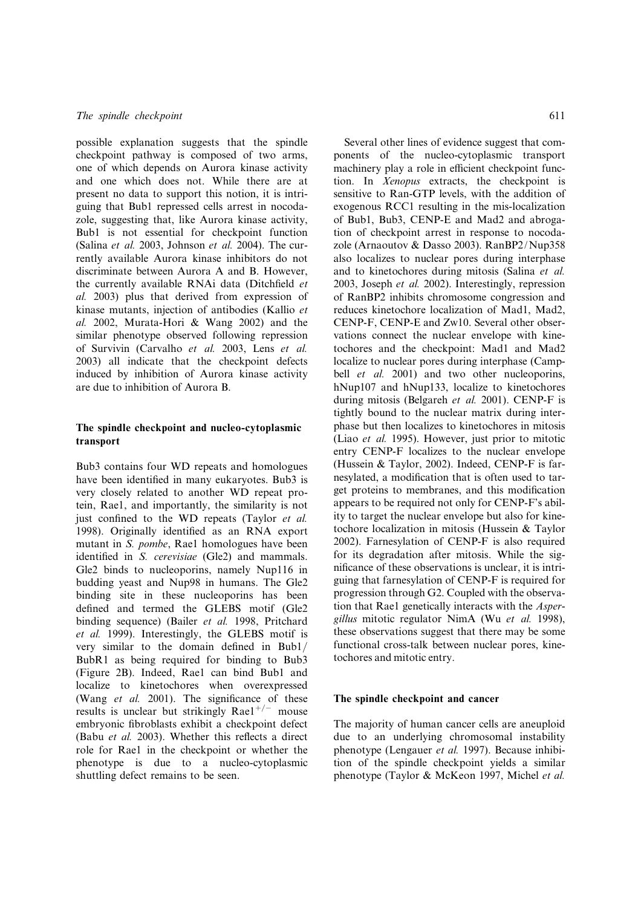#### The spindle checkpoint 611

possible explanation suggests that the spindle checkpoint pathway is composed of two arms, one of which depends on Aurora kinase activity and one which does not. While there are at present no data to support this notion, it is intriguing that Bub1 repressed cells arrest in nocodazole, suggesting that, like Aurora kinase activity, Bub1 is not essential for checkpoint function (Salina et al. 2003, Johnson et al. 2004). The currently available Aurora kinase inhibitors do not discriminate between Aurora A and B. However, the currently available RNAi data (Ditchfield  $et$ al. 2003) plus that derived from expression of kinase mutants, injection of antibodies (Kallio et al. 2002, Murata-Hori & Wang 2002) and the similar phenotype observed following repression of Survivin (Carvalho et al. 2003, Lens et al. 2003) all indicate that the checkpoint defects induced by inhibition of Aurora kinase activity are due to inhibition of Aurora B.

### The spindle checkpoint and nucleo-cytoplasmic transport

Bub3 contains four WD repeats and homologues have been identified in many eukaryotes. Bub3 is very closely related to another WD repeat protein, Rae1, and importantly, the similarity is not just confined to the WD repeats (Taylor et al. 1998). Originally identified as an RNA export mutant in *S. pombe*, Rae1 homologues have been identified in S. cerevisiae (Gle2) and mammals. Gle2 binds to nucleoporins, namely Nup116 in budding yeast and Nup98 in humans. The Gle2 binding site in these nucleoporins has been defined and termed the GLEBS motif (Gle2 binding sequence) (Bailer et al. 1998, Pritchard et al. 1999). Interestingly, the GLEBS motif is very similar to the domain defined in Bub1/ BubR1 as being required for binding to Bub3 (Figure 2B). Indeed, Rae1 can bind Bub1 and localize to kinetochores when overexpressed (Wang et al. 2001). The significance of these results is unclear but strikingly Rae $1^{+/-}$  mouse embryonic fibroblasts exhibit a checkpoint defect (Babu et al. 2003). Whether this reflects a direct role for Rae1 in the checkpoint or whether the phenotype is due to a nucleo-cytoplasmic shuttling defect remains to be seen.

Several other lines of evidence suggest that components of the nucleo-cytoplasmic transport machinery play a role in efficient checkpoint function. In Xenopus extracts, the checkpoint is sensitive to Ran-GTP levels, with the addition of exogenous RCC1 resulting in the mis-localization of Bub1, Bub3, CENP-E and Mad2 and abrogation of checkpoint arrest in response to nocodazole (Arnaoutov & Dasso 2003). RanBP2/Nup358 also localizes to nuclear pores during interphase and to kinetochores during mitosis (Salina et al. 2003, Joseph et al. 2002). Interestingly, repression of RanBP2 inhibits chromosome congression and reduces kinetochore localization of Mad1, Mad2, CENP-F, CENP-E and Zw10. Several other observations connect the nuclear envelope with kinetochores and the checkpoint: Mad1 and Mad2 localize to nuclear pores during interphase (Campbell *et al.* 2001) and two other nucleoporins, hNup107 and hNup133, localize to kinetochores during mitosis (Belgareh et al. 2001). CENP-F is tightly bound to the nuclear matrix during interphase but then localizes to kinetochores in mitosis (Liao et al. 1995). However, just prior to mitotic entry CENP-F localizes to the nuclear envelope (Hussein & Taylor, 2002). Indeed, CENP-F is farnesylated, a modification that is often used to target proteins to membranes, and this modification appears to be required not only for CENP-F's ability to target the nuclear envelope but also for kinetochore localization in mitosis (Hussein & Taylor 2002). Farnesylation of CENP-F is also required for its degradation after mitosis. While the significance of these observations is unclear, it is intriguing that farnesylation of CENP-F is required for progression through G2. Coupled with the observation that Rae1 genetically interacts with the Aspergillus mitotic regulator NimA (Wu et al. 1998), these observations suggest that there may be some functional cross-talk between nuclear pores, kinetochores and mitotic entry.

#### The spindle checkpoint and cancer

The majority of human cancer cells are aneuploid due to an underlying chromosomal instability phenotype (Lengauer et al. 1997). Because inhibition of the spindle checkpoint yields a similar phenotype (Taylor & McKeon 1997, Michel et al.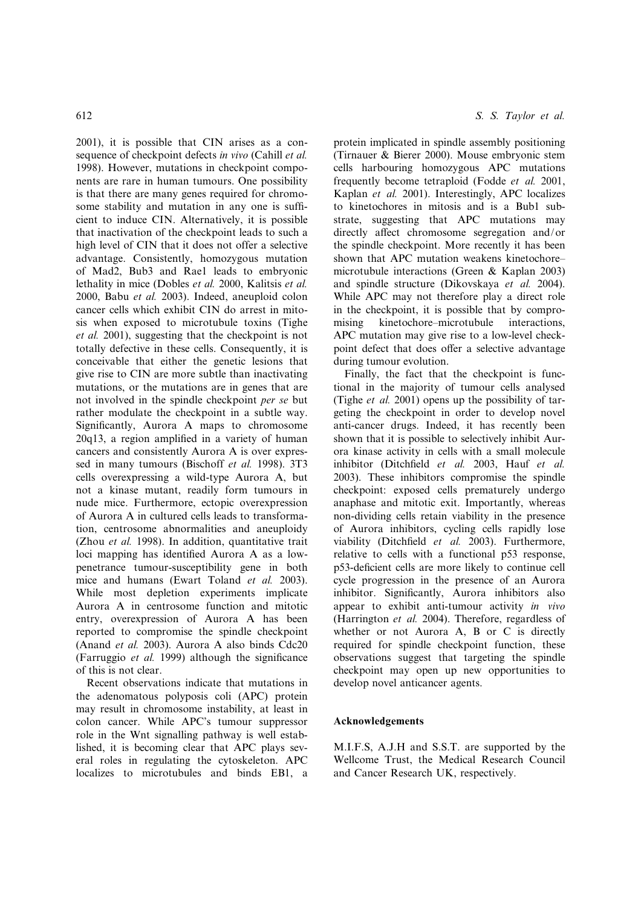2001), it is possible that CIN arises as a consequence of checkpoint defects in vivo (Cahill et al. 1998). However, mutations in checkpoint components are rare in human tumours. One possibility is that there are many genes required for chromosome stability and mutation in any one is sufficient to induce CIN. Alternatively, it is possible that inactivation of the checkpoint leads to such a high level of CIN that it does not offer a selective advantage. Consistently, homozygous mutation of Mad2, Bub3 and Rae1 leads to embryonic lethality in mice (Dobles et al. 2000, Kalitsis et al. 2000, Babu et al. 2003). Indeed, aneuploid colon cancer cells which exhibit CIN do arrest in mitosis when exposed to microtubule toxins (Tighe et al. 2001), suggesting that the checkpoint is not totally defective in these cells. Consequently, it is conceivable that either the genetic lesions that give rise to CIN are more subtle than inactivating mutations, or the mutations are in genes that are not involved in the spindle checkpoint per se but rather modulate the checkpoint in a subtle way. Significantly, Aurora A maps to chromosome 20q13, a region amplified in a variety of human cancers and consistently Aurora A is over expressed in many tumours (Bischoff et al. 1998). 3T3 cells overexpressinga wild-type Aurora A, but not a kinase mutant, readily form tumours in nude mice. Furthermore, ectopic overexpression of Aurora A in cultured cells leads to transformation, centrosome abnormalities and aneuploidy (Zhou et al. 1998). In addition, quantitative trait loci mapping has identified Aurora A as a lowpenetrance tumour-susceptibility gene in both mice and humans (Ewart Toland et al. 2003). While most depletion experiments implicate Aurora A in centrosome function and mitotic entry, overexpression of Aurora A has been reported to compromise the spindle checkpoint (Anand et al. 2003). Aurora A also binds Cdc20 (Farruggio et al. 1999) although the significance of this is not clear.

Recent observations indicate that mutations in the adenomatous polyposis coli (APC) protein may result in chromosome instability, at least in colon cancer. While APC's tumour suppressor role in the Wnt signalling pathway is well established, it is becoming clear that APC plays several roles in regulating the cytoskeleton. APC localizes to microtubules and binds EB1, a

612 S. S. Taylor et al.

protein implicated in spindle assembly positioning (Tirnauer & Bierer 2000). Mouse embryonic stem cells harbouring homozygous APC mutations frequently become tetraploid (Fodde et al. 2001, Kaplan et al. 2001). Interestingly, APC localizes to kinetochores in mitosis and is a Bub1 substrate, suggesting that APC mutations may directly affect chromosome segregation and/or the spindle checkpoint. More recently it has been shown that APC mutation weakens kinetochore^ microtubule interactions (Green & Kaplan 2003) and spindle structure (Dikovskaya et al. 2004). While APC may not therefore play a direct role in the checkpoint, it is possible that by compromising kinetochore–microtubule interactions, APC mutation may give rise to a low-level checkpoint defect that does offer a selective advantage during tumour evolution.

Finally, the fact that the checkpoint is functional in the majority of tumour cells analysed (Tighe et al. 2001) opens up the possibility of targeting the checkpoint in order to develop novel anti-cancer drugs. Indeed, it has recently been shown that it is possible to selectively inhibit Aurora kinase activity in cells with a small molecule inhibitor (Ditchfield et al. 2003, Hauf et al. 2003). These inhibitors compromise the spindle checkpoint: exposed cells prematurely undergo anaphase and mitotic exit. Importantly, whereas non-dividing cells retain viability in the presence of Aurora inhibitors, cycling cells rapidly lose viability (Ditchfield et al. 2003). Furthermore, relative to cells with a functional p53 response, p53-deficient cells are more likely to continue cell cycle progression in the presence of an Aurora inhibitor. Significantly, Aurora inhibitors also appear to exhibit anti-tumour activity in vivo (Harrington et al. 2004). Therefore, regardless of whether or not Aurora A, B or C is directly required for spindle checkpoint function, these observations suggest that targeting the spindle checkpoint may open up new opportunities to develop novel anticancer agents.

### Acknowledgements

M.I.F.S, A.J.H and S.S.T. are supported by the Wellcome Trust, the Medical Research Council and Cancer Research UK, respectively.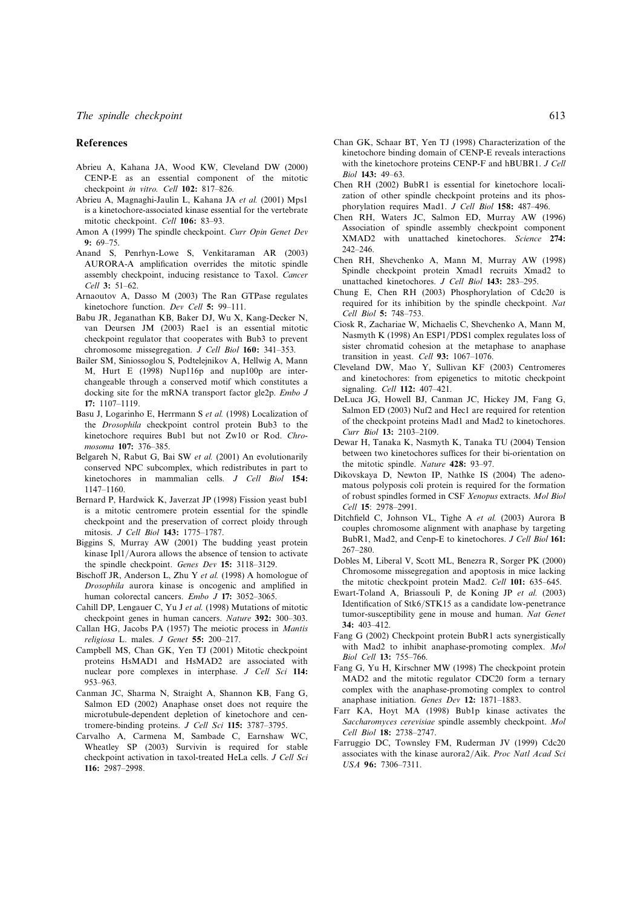#### References

- Abrieu A, Kahana JA, Wood KW, Cleveland DW (2000) CENP-E as an essential component of the mitotic checkpoint in vitro. Cell 102: 817–826.
- Abrieu A, Magnaghi-Jaulin L, Kahana JA et al. (2001) Mps1 is a kinetochore-associated kinase essential for the vertebrate mitotic checkpoint. Cell 106: 83–93.
- Amon A (1999) The spindle checkpoint. Curr Opin Genet Dev 9: 69–75.
- Anand S, Penrhyn-Lowe S, Venkitaraman AR (2003) AURORA-A amplification overrides the mitotic spindle assembly checkpoint, inducing resistance to Taxol. Cancer Cell 3: 51–62.
- Arnaoutov A, Dasso M (2003) The Ran GTPase regulates kinetochore function. Dev Cell 5: 99–111.
- Babu JR, Jeganathan KB, Baker DJ, Wu X, Kang-Decker N, van Deursen JM (2003) Rae1 is an essential mitotic checkpoint regulator that cooperates with Bub3 to prevent chromosome missegregation. J Cell Biol 160: 341–353.
- Bailer SM, Siniossoglou S, Podtelejnikov A, Hellwig A, Mann M, Hurt E (1998) Nup116p and nup100p are interchangeable through a conserved motif which constitutes a docking site for the mRNA transport factor gle2p. Embo J 17: 1107–1119.
- Basu J, Logarinho E, Herrmann S et al. (1998) Localization of the Drosophila checkpoint control protein Bub3 to the kinetochore requires Bub1 but not Zw10 or Rod. Chromosoma 107: 376–385.
- Belgareh N, Rabut G, Bai SW et al. (2001) An evolutionarily conserved NPC subcomplex, which redistributes in part to kinetochores in mammalian cells. J Cell Biol 154: 1147–1160.
- Bernard P, Hardwick K, Javerzat JP (1998) Fission yeast bub1 is a mitotic centromere protein essential for the spindle checkpoint and the preservation of correct ploidy through mitosis. J Cell Biol 143: 1775–1787.
- Biggins S, Murray AW (2001) The budding yeast protein kinase Ipl1/Aurora allows the absence of tension to activate the spindle checkpoint. Genes Dev 15: 3118–3129.
- Bischoff JR, Anderson L, Zhu Y et al. (1998) A homologue of Drosophila aurora kinase is oncogenic and amplified in human colorectal cancers. *Embo J* 17: 3052-3065.
- Cahill DP, Lengauer C, Yu J et al. (1998) Mutations of mitotic checkpoint genes in human cancers. Nature 392: 300–303.
- Callan HG, Jacobs PA (1957) The meiotic process in Mantis religiosa L. males. J Genet 55: 200–217.
- Campbell MS, Chan GK, Yen TJ (2001) Mitotic checkpoint proteins HsMAD1 and HsMAD2 are associated with nuclear pore complexes in interphase. J Cell Sci 114: 953–963.
- Canman JC, Sharma N, Straight A, Shannon KB, Fang G, Salmon ED (2002) Anaphase onset does not require the microtubule-dependent depletion of kinetochore and centromere-binding proteins. J Cell Sci 115: 3787-3795.
- Carvalho A, Carmena M, Sambade C, Earnshaw WC, Wheatley SP (2003) Survivin is required for stable checkpoint activation in taxol-treated HeLa cells. J Cell Sci 116: 2987–2998.
- Chan GK, Schaar BT, Yen TJ (1998) Characterization of the kinetochore binding domain of CENP-E reveals interactions with the kinetochore proteins CENP-F and hBUBR1. *J Cell* Biol 143: 49–63.
- Chen RH (2002) BubR1 is essential for kinetochore localization of other spindle checkpoint proteins and its phosphorylation requires Mad1. J Cell Biol 158: 487-496.
- Chen RH, Waters JC, Salmon ED, Murray AW (1996) Association of spindle assembly checkpoint component XMAD2 with unattached kinetochores. Science 274: 242–246.
- Chen RH, Shevchenko A, Mann M, Murray AW (1998) Spindle checkpoint protein Xmad1 recruits Xmad2 to unattached kinetochores. J Cell Biol 143: 283–295.
- ChungE, Chen RH (2003) Phosphorylation of Cdc20 is required for its inhibition by the spindle checkpoint. Nat Cell Biol 5: 748–753.
- Ciosk R, Zachariae W, Michaelis C, Shevchenko A, Mann M, Nasmyth K (1998) An ESP1/PDS1 complex regulates loss of sister chromatid cohesion at the metaphase to anaphase transition in yeast. Cell 93: 1067–1076.
- Cleveland DW, Mao Y, Sullivan KF (2003) Centromeres and kinetochores: from epigenetics to mitotic checkpoint signaling. Cell 112: 407–421.
- DeLuca JG, Howell BJ, Canman JC, Hickey JM, Fang G, Salmon ED (2003) Nuf2 and Hec1 are required for retention of the checkpoint proteins Mad1 and Mad2 to kinetochores. Curr Biol 13: 2103–2109.
- Dewar H, Tanaka K, Nasmyth K, Tanaka TU (2004) Tension between two kinetochores suffices for their bi-orientation on the mitotic spindle. Nature 428: 93–97.
- Dikovskaya D, Newton IP, Nathke IS (2004) The adenomatous polyposis coli protein is required for the formation of robust spindles formed in CSF Xenopus extracts. Mol Biol Cell 15: 2978–2991.
- Ditchfield C, Johnson VL, Tighe A et al. (2003) Aurora B couples chromosome alignment with anaphase by targeting BubR1, Mad2, and Cenp-E to kinetochores. J Cell Biol 161: 267–280.
- Dobles M, Liberal V, Scott ML, Benezra R, Sorger PK (2000) Chromosome missegregation and apoptosis in mice lacking the mitotic checkpoint protein Mad2. Cell 101: 635–645.
- Ewart-Toland A, Briassouli P, de Koning JP et al. (2003) Identification of Stk6/STK15 as a candidate low-penetrance tumor-susceptibility gene in mouse and human. Nat Genet 34: 403–412.
- Fang G (2002) Checkpoint protein BubR1 acts synergistically with Mad2 to inhibit anaphase-promoting complex. Mol Biol Cell 13: 755–766.
- FangG, Yu H, Kirschner MW (1998) The checkpoint protein MAD2 and the mitotic regulator CDC20 form a ternary complex with the anaphase-promoting complex to control anaphase initiation. Genes Dev 12: 1871–1883.
- Farr KA, Hoyt MA (1998) Bub1p kinase activates the Saccharomyces cerevisiae spindle assembly checkpoint. Mol Cell Biol 18: 2738–2747.
- Farruggio DC, Townsley FM, Ruderman JV (1999) Cdc20 associates with the kinase aurora2/Aik. Proc Natl Acad Sci USA 96: 7306–7311.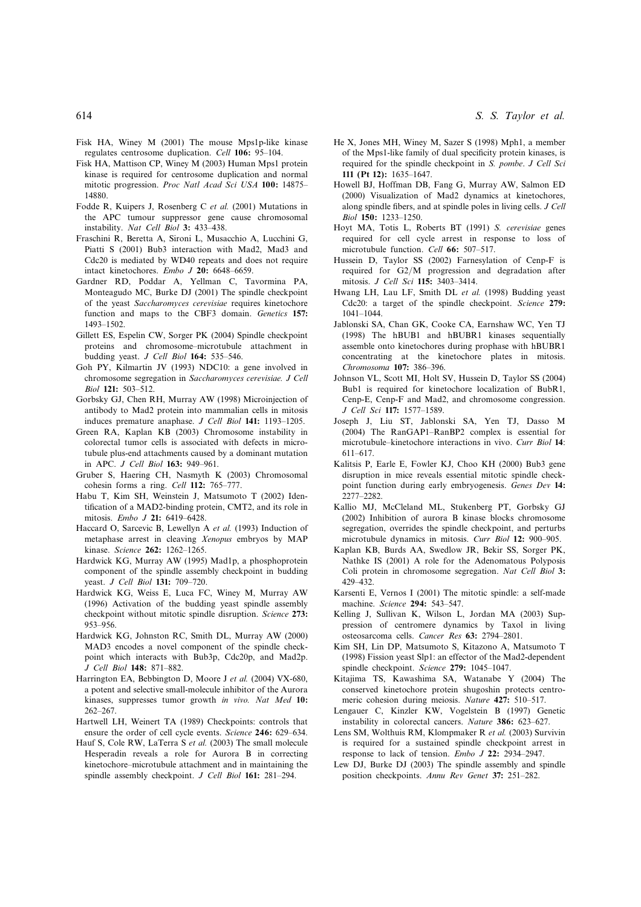- Fisk HA, Mattison CP, Winey M (2003) Human Mps1 protein kinase is required for centrosome duplication and normal mitotic progression. Proc Natl Acad Sci USA 100: 14875– 14880.
- Fodde R, Kuipers J, Rosenberg C et al. (2001) Mutations in the APC tumour suppressor gene cause chromosomal instability. Nat Cell Biol 3: 433–438.
- Fraschini R, Beretta A, Sironi L, Musacchio A, Lucchini G, Piatti S (2001) Bub3 interaction with Mad2, Mad3 and Cdc20 is mediated by WD40 repeats and does not require intact kinetochores. Embo J 20: 6648–6659.
- Gardner RD, Poddar A, Yellman C, Tavormina PA, Monteagudo MC, Burke DJ (2001) The spindle checkpoint of the yeast Saccharomyces cerevisiae requires kinetochore function and maps to the CBF3 domain. Genetics 157: 1493–1502.
- Gillett ES, Espelin CW, Sorger PK (2004) Spindle checkpoint proteins and chromosome–microtubule attachment in budding yeast.  $J$  Cell Biol 164: 535–546.
- Goh PY, Kilmartin JV (1993) NDC10: a gene involved in chromosome segregation in Saccharomyces cerevisiae. J Cell Biol 121: 503–512.
- Gorbsky GJ, Chen RH, Murray AW (1998) Microinjection of antibody to Mad2 protein into mammalian cells in mitosis induces premature anaphase. J Cell Biol 141: 1193–1205.
- Green RA, Kaplan KB (2003) Chromosome instability in colorectal tumor cells is associated with defects in microtubule plus-end attachments caused by a dominant mutation in APC. J Cell Biol 163: 949–961.
- Gruber S, Haering CH, Nasmyth K (2003) Chromosomal cohesin forms a ring. Cell 112: 765–777.
- Habu T, Kim SH, Weinstein J, Matsumoto T (2002) Identification of a MAD2-binding protein, CMT2, and its role in mitosis. Embo J 21: 6419–6428.
- Haccard O, Sarcevic B, Lewellyn A et al. (1993) Induction of metaphase arrest in cleaving Xenopus embryos by MAP kinase. Science 262: 1262–1265.
- Hardwick KG, Murray AW (1995) Mad1p, a phosphoprotein component of the spindle assembly checkpoint in budding yeast. J Cell Biol 131: 709–720.
- Hardwick KG, Weiss E, Luca FC, Winey M, Murray AW (1996) Activation of the budding yeast spindle assembly checkpoint without mitotic spindle disruption. Science 273: 953–956.
- Hardwick KG, Johnston RC, Smith DL, Murray AW (2000) MAD3 encodes a novel component of the spindle checkpoint which interacts with Bub3p, Cdc20p, and Mad2p. J Cell Biol 148: 871–882.
- Harrington EA, Bebbington D, Moore J et al. (2004) VX-680, a potent and selective small-molecule inhibitor of the Aurora kinases, suppresses tumor growth in vivo. Nat Med 10: 262–267.
- Hartwell LH, Weinert TA (1989) Checkpoints: controls that ensure the order of cell cycle events. Science 246: 629–634.
- Hauf S, Cole RW, LaTerra S et al. (2003) The small molecule Hesperadin reveals a role for Aurora B in correcting kinetochore–microtubule attachment and in maintaining the spindle assembly checkpoint. J Cell Biol 161: 281-294.
- He X, Jones MH, Winey M, Sazer S (1998) Mph1, a member of the Mps1-like family of dual specificity protein kinases, is required for the spindle checkpoint in S. pombe. J Cell Sci 111 (Pt 12): 1635–1647.
- Howell BJ, Hoffman DB, FangG, Murray AW, Salmon ED (2000) Visualization of Mad2 dynamics at kinetochores, along spindle fibers, and at spindle poles in living cells. J Cell Biol 150: 1233–1250.
- Hoyt MA, Totis L, Roberts BT (1991) S. cerevisiae genes required for cell cycle arrest in response to loss of microtubule function. Cell 66: 507–517.
- Hussein D, Taylor SS (2002) Farnesylation of Cenp-F is required for G2/M progression and degradation after mitosis. J Cell Sci 115: 3403–3414.
- Hwang LH, Lau LF, Smith DL et al. (1998) Budding yeast Cdc20: a target of the spindle checkpoint. Science 279: 1041–1044.
- Jablonski SA, Chan GK, Cooke CA, Earnshaw WC, Yen TJ (1998) The hBUB1 and hBUBR1 kinases sequentially assemble onto kinetochores during prophase with hBUBR1 concentrating at the kinetochore plates in mitosis. Chromosoma 107: 386–396.
- Johnson VL, Scott MI, Holt SV, Hussein D, Taylor SS (2004) Bub1 is required for kinetochore localization of BubR1, Cenp-E, Cenp-F and Mad2, and chromosome congression. J Cell Sci 117: 1577–1589.
- Joseph J, Liu ST, Jablonski SA, Yen TJ, Dasso M (2004) The RanGAP1–RanBP2 complex is essential for microtubule–kinetochore interactions in vivo. Curr Biol 14: 611–617.
- Kalitsis P, Earle E, Fowler KJ, Choo KH (2000) Bub3 gene disruption in mice reveals essential mitotic spindle checkpoint function during early embryogenesis. Genes Dev 14: 2277–2282.
- Kallio MJ, McCleland ML, Stukenberg PT, Gorbsky GJ (2002) Inhibition of aurora B kinase blocks chromosome segregation, overrides the spindle checkpoint, and perturbs microtubule dynamics in mitosis. Curr Biol 12: 900–905.
- Kaplan KB, Burds AA, Swedlow JR, Bekir SS, Sorger PK, Nathke IS (2001) A role for the Adenomatous Polyposis Coli protein in chromosome segregation. Nat Cell Biol 3: 429–432.
- Karsenti E, Vernos I (2001) The mitotic spindle: a self-made machine. Science 294: 543–547.
- Kelling J, Sullivan K, Wilson L, Jordan MA (2003) Suppression of centromere dynamics by Taxol in living osteosarcoma cells. Cancer Res 63: 2794–2801.
- Kim SH, Lin DP, Matsumoto S, Kitazono A, Matsumoto T (1998) Fission yeast Slp1: an effector of the Mad2-dependent spindle checkpoint. Science 279: 1045–1047.
- Kitajima TS, Kawashima SA, Watanabe Y (2004) The conserved kinetochore protein shugoshin protects centromeric cohesion during meiosis. Nature 427: 510-517.
- Lengauer C, Kinzler KW, Vogelstein B (1997) Genetic instability in colorectal cancers. Nature 386: 623–627.
- Lens SM, Wolthuis RM, Klompmaker R et al. (2003) Survivin is required for a sustained spindle checkpoint arrest in response to lack of tension. Embo J 22: 2934–2947.
- Lew DJ, Burke DJ (2003) The spindle assembly and spindle position checkpoints. Annu Rev Genet 37: 251–282.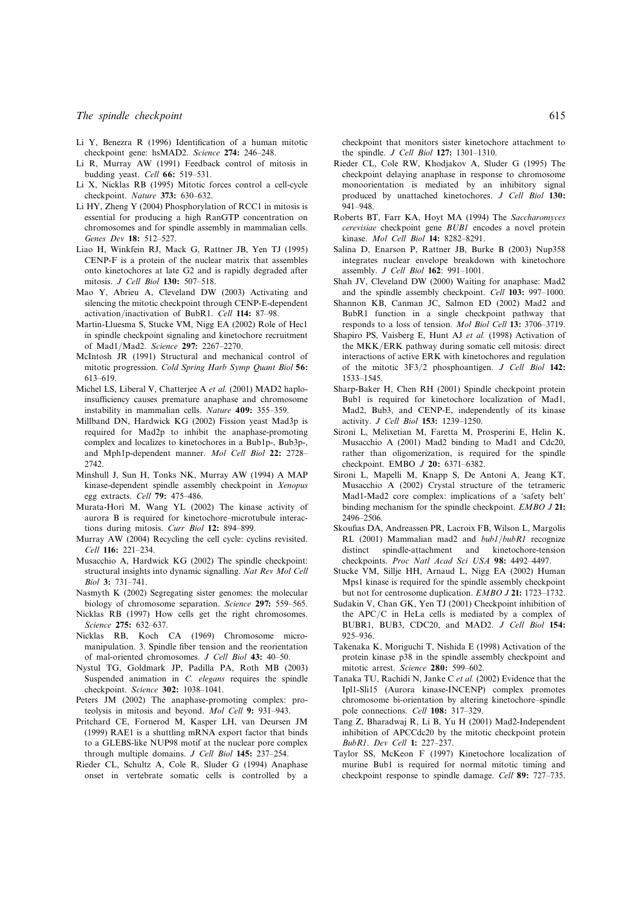#### The spindle checkpoint 615

- Li Y, Benezra R (1996) Identification of a human mitotic checkpoint gene: hsMAD2. Science 274: 246–248.
- Li R, Murray AW (1991) Feedback control of mitosis in budding yeast. Cell 66: 519-531.
- Li X, Nicklas RB (1995) Mitotic forces control a cell-cycle checkpoint. Nature 373: 630–632.
- Li HY, Zheng Y (2004) Phosphorylation of RCC1 in mitosis is essential for producing a high RanGTP concentration on chromosomes and for spindle assembly in mammalian cells. Genes Dev 18: 512–527.
- Liao H, Winkfein RJ, Mack G, Rattner JB, Yen TJ (1995) CENP-F is a protein of the nuclear matrix that assembles onto kinetochores at late G2 and is rapidly degraded after mitosis. J Cell Biol 130: 507–518.
- Mao Y, Abrieu A, Cleveland DW (2003) Activating and silencing the mitotic checkpoint through CENP-E-dependent activation/inactivation of BubR1. Cell 114: 87–98.
- Martin-Lluesma S, Stucke VM, Nigg EA (2002) Role of Hec1 in spindle checkpoint signaling and kinetochore recruitment of Mad1/Mad2. Science 297: 2267–2270.
- McIntosh JR (1991) Structural and mechanical control of mitotic progression. Cold Spring Harb Symp Quant Biol 56: 613–619.
- Michel LS, Liberal V, Chatterjee A et al. (2001) MAD2 haploinsufficiency causes premature anaphase and chromosome instability in mammalian cells. Nature 409: 355–359.
- Millband DN, Hardwick KG (2002) Fission yeast Mad3p is required for Mad2p to inhibit the anaphase-promoting complex and localizes to kinetochores in a Bub1p-, Bub3p-, and Mph1p-dependent manner. Mol Cell Biol 22: 2728–  $2742$
- Minshull J, Sun H, Tonks NK, Murray AW (1994) A MAP kinase-dependent spindle assembly checkpoint in Xenopus egg extracts. Cell 79: 475–486.
- Murata-Hori M, Wang YL (2002) The kinase activity of aurora B is required for kinetochore–microtubule interactions during mitosis. Curr Biol 12: 894-899.
- Murray AW (2004) Recycling the cell cycle: cyclins revisited. Cell 116: 221–234.
- Musacchio A, Hardwick KG (2002) The spindle checkpoint: structural insights into dynamic signalling. Nat Rev Mol Cell Biol 3: 731–741.
- Nasmyth K (2002) Segregating sister genomes: the molecular biology of chromosome separation. Science 297: 559–565.
- Nicklas RB (1997) How cells get the right chromosomes. Science 275: 632–637.
- Nicklas RB, Koch CA (1969) Chromosome micromanipulation. 3. Spindle fiber tension and the reorientation of mal-oriented chromosomes. J Cell Biol 43: 40–50.
- Nystul TG, Goldmark JP, Padilla PA, Roth MB (2003) Suspended animation in C. elegans requires the spindle checkpoint. Science 302: 1038–1041.
- Peters JM (2002) The anaphase-promoting complex: proteolysis in mitosis and beyond. Mol Cell 9: 931–943.
- Pritchard CE, Fornerod M, Kasper LH, van Deursen JM (1999) RAE1 is a shuttling mRNA export factor that binds to a GLEBS-like NUP98 motif at the nuclear pore complex through multiple domains. J Cell Biol 145: 237–254.
- Rieder CL, Schultz A, Cole R, Sluder G (1994) Anaphase onset in vertebrate somatic cells is controlled by a

checkpoint that monitors sister kinetochore attachment to the spindle. J Cell Biol 127: 1301–1310.

- Rieder CL, Cole RW, Khodjakov A, Sluder G (1995) The checkpoint delaying anaphase in response to chromosome monoorientation is mediated by an inhibitory signal produced by unattached kinetochores. J Cell Biol 130: 941–948.
- Roberts BT, Farr KA, Hoyt MA (1994) The Saccharomyces cerevisiae checkpoint gene BUB1 encodes a novel protein kinase. Mol Cell Biol 14: 8282–8291.
- Salina D, Enarson P, Rattner JB, Burke B (2003) Nup358 integrates nuclear envelope breakdown with kinetochore assembly. J Cell Biol 162: 991–1001.
- Shah JV, Cleveland DW (2000) Waiting for anaphase: Mad2 and the spindle assembly checkpoint. Cell 103: 997–1000.
- Shannon KB, Canman JC, Salmon ED (2002) Mad2 and BubR1 function in a single checkpoint pathway that responds to a loss of tension. Mol Biol Cell 13: 3706–3719.
- Shapiro PS, Vaisberg E, Hunt AJ et al. (1998) Activation of the MKK/ERK pathway during somatic cell mitosis: direct interactions of active ERK with kinetochores and regulation of the mitotic 3F3/2 phosphoantigen. J Cell Biol 142: 1533–1545.
- Sharp-Baker H, Chen RH (2001) Spindle checkpoint protein Bub1 is required for kinetochore localization of Mad1, Mad2, Bub3, and CENP-E, independently of its kinase activity. J Cell Biol 153: 1239–1250.
- Sironi L, Melixetian M, Faretta M, Prosperini E, Helin K, Musacchio A (2001) Mad2 binding to Mad1 and Cdc20, rather than oligomerization, is required for the spindle checkpoint. EMBO J 20: 6371–6382.
- Sironi L, Mapelli M, Knapp S, De Antoni A, Jeang KT, Musacchio A (2002) Crystal structure of the tetrameric Mad1-Mad2 core complex: implications of a 'safety belt' binding mechanism for the spindle checkpoint.  $EMBO J 21$ : 2496–2506.
- Skoufias DA, Andreassen PR, Lacroix FB, Wilson L, Margolis RL (2001) Mammalian mad2 and bub1/bubR1 recognize distinct spindle-attachment and kinetochore-tension checkpoints. Proc Natl Acad Sci USA 98: 4492–4497.
- Stucke VM, Sillje HH, Arnaud L, Nigg EA (2002) Human Mps1 kinase is required for the spindle assembly checkpoint but not for centrosome duplication. EMBO J 21: 1723–1732.
- Sudakin V, Chan GK, Yen TJ (2001) Checkpoint inhibition of the APC/C in HeLa cells is mediated by a complex of BUBR1, BUB3, CDC20, and MAD2. J Cell Biol 154: 925–936.
- Takenaka K, Moriguchi T, Nishida E (1998) Activation of the protein kinase p38 in the spindle assembly checkpoint and mitotic arrest. Science 280: 599–602.
- Tanaka TU, Rachidi N, Janke C et al. (2002) Evidence that the Ipl1-Sli15 (Aurora kinase-INCENP) complex promotes chromosome bi-orientation by altering kinetochore–spindle pole connections. Cell 108: 317–329.
- TangZ, Bharadwaj R, Li B, Yu H (2001) Mad2-Independent inhibition of APCCdc20 by the mitotic checkpoint protein BubR1. Dev Cell 1: 227–237.
- Taylor SS, McKeon F (1997) Kinetochore localization of murine Bub1 is required for normal mitotic timing and checkpoint response to spindle damage. Cell 89: 727–735.